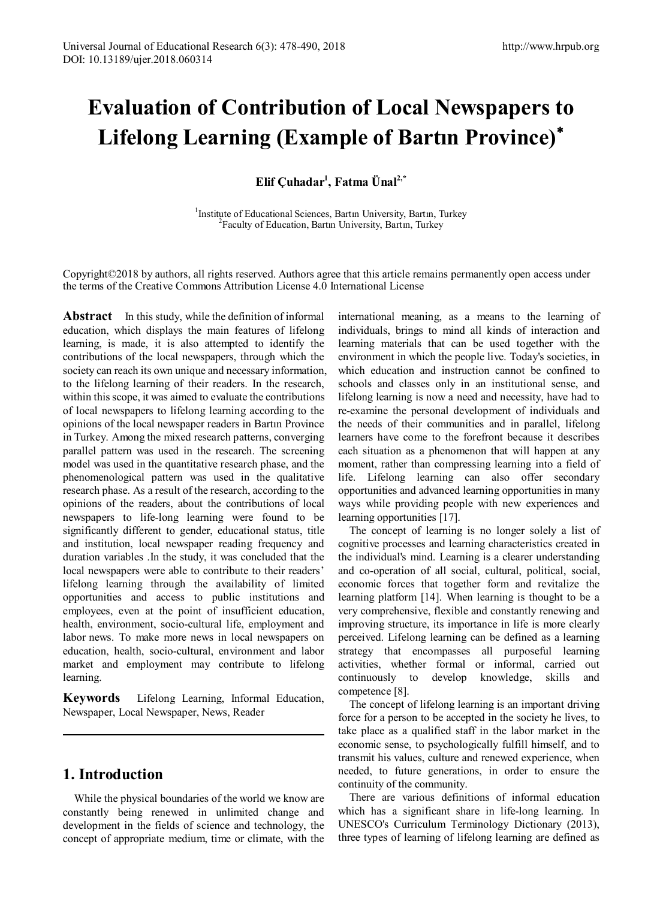# **Evaluation of Contribution of Local Newspapers to Lifelong Learning (Example of Bartın Province)**[∗](#page-12-0)

**Elif Çuhadar1 , Fatma Ünal2,\***

<sup>1</sup>Institute of Educational Sciences, Bartın University, Bartın, Turkey <sup>2</sup> Faculty of Education, Bartin University, Bartin, Turkey

Copyright©2018 by authors, all rights reserved. Authors agree that this article remains permanently open access under the terms of the Creative Commons Attribution License 4.0 International License

**Abstract** In this study, while the definition of informal education, which displays the main features of lifelong learning, is made, it is also attempted to identify the contributions of the local newspapers, through which the society can reach its own unique and necessary information, to the lifelong learning of their readers. In the research, within this scope, it was aimed to evaluate the contributions of local newspapers to lifelong learning according to the opinions of the local newspaper readers in Bartın Province in Turkey. Among the mixed research patterns, converging parallel pattern was used in the research. The screening model was used in the quantitative research phase, and the phenomenological pattern was used in the qualitative research phase. As a result of the research, according to the opinions of the readers, about the contributions of local newspapers to life-long learning were found to be significantly different to gender, educational status, title and institution, local newspaper reading frequency and duration variables .In the study, it was concluded that the local newspapers were able to contribute to their readers' lifelong learning through the availability of limited opportunities and access to public institutions and employees, even at the point of insufficient education, health, environment, socio-cultural life, employment and labor news. To make more news in local newspapers on education, health, socio-cultural, environment and labor market and employment may contribute to lifelong learning.

**Keywords** Lifelong Learning, Informal Education, Newspaper, Local Newspaper, News, Reader

# **1. Introduction**

While the physical boundaries of the world we know are constantly being renewed in unlimited change and development in the fields of science and technology, the concept of appropriate medium, time or climate, with the

international meaning, as a means to the learning of individuals, brings to mind all kinds of interaction and learning materials that can be used together with the environment in which the people live. Today's societies, in which education and instruction cannot be confined to schools and classes only in an institutional sense, and lifelong learning is now a need and necessity, have had to re-examine the personal development of individuals and the needs of their communities and in parallel, lifelong learners have come to the forefront because it describes each situation as a phenomenon that will happen at any moment, rather than compressing learning into a field of life. Lifelong learning can also offer secondary opportunities and advanced learning opportunities in many ways while providing people with new experiences and learning opportunities [17].

The concept of learning is no longer solely a list of cognitive processes and learning characteristics created in the individual's mind. Learning is a clearer understanding and co-operation of all social, cultural, political, social, economic forces that together form and revitalize the learning platform [14]. When learning is thought to be a very comprehensive, flexible and constantly renewing and improving structure, its importance in life is more clearly perceived. Lifelong learning can be defined as a learning strategy that encompasses all purposeful learning activities, whether formal or informal, carried out continuously to develop knowledge, skills and competence [8].

The concept of lifelong learning is an important driving force for a person to be accepted in the society he lives, to take place as a qualified staff in the labor market in the economic sense, to psychologically fulfill himself, and to transmit his values, culture and renewed experience, when needed, to future generations, in order to ensure the continuity of the community.

There are various definitions of informal education which has a significant share in life-long learning. In UNESCO's Curriculum Terminology Dictionary (2013), three types of learning of lifelong learning are defined as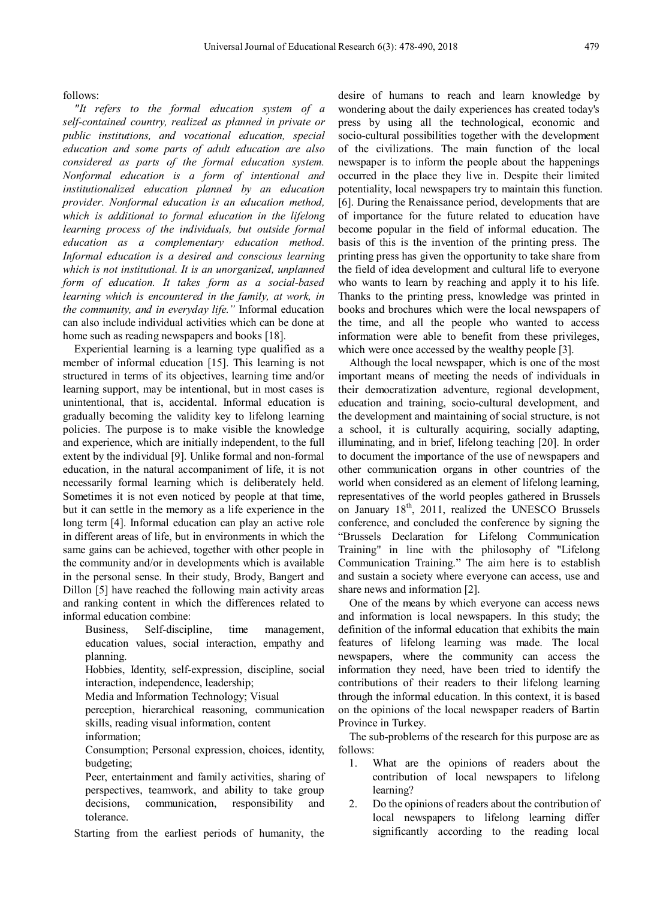follows:

*"It refers to the formal education system of a self-contained country, realized as planned in private or public institutions, and vocational education, special education and some parts of adult education are also considered as parts of the formal education system. Nonformal education is a form of intentional and institutionalized education planned by an education provider. Nonformal education is an education method, which is additional to formal education in the lifelong learning process of the individuals, but outside formal education as a complementary education method. Informal education is a desired and conscious learning which is not institutional. It is an unorganized, unplanned form of education. It takes form as a social-based learning which is encountered in the family, at work, in the community, and in everyday life."* Informal education can also include individual activities which can be done at home such as reading newspapers and books [18].

Experiential learning is a learning type qualified as a member of informal education [15]. This learning is not structured in terms of its objectives, learning time and/or learning support, may be intentional, but in most cases is unintentional, that is, accidental. Informal education is gradually becoming the validity key to lifelong learning policies. The purpose is to make visible the knowledge and experience, which are initially independent, to the full extent by the individual [9]. Unlike formal and non-formal education, in the natural accompaniment of life, it is not necessarily formal learning which is deliberately held. Sometimes it is not even noticed by people at that time, but it can settle in the memory as a life experience in the long term [4]. Informal education can play an active role in different areas of life, but in environments in which the same gains can be achieved, together with other people in the community and/or in developments which is available in the personal sense. In their study, Brody, Bangert and Dillon [5] have reached the following main activity areas and ranking content in which the differences related to informal education combine:

- Business, Self-discipline, time management, education values, social interaction, empathy and planning.
- Hobbies, Identity, self-expression, discipline, social interaction, independence, leadership;
- Media and Information Technology; Visual
- perception, hierarchical reasoning, communication skills, reading visual information, content
- information;
- Consumption; Personal expression, choices, identity, budgeting;
- Peer, entertainment and family activities, sharing of perspectives, teamwork, and ability to take group decisions, communication, responsibility and tolerance.
- Starting from the earliest periods of humanity, the

desire of humans to reach and learn knowledge by wondering about the daily experiences has created today's press by using all the technological, economic and socio-cultural possibilities together with the development of the civilizations. The main function of the local newspaper is to inform the people about the happenings occurred in the place they live in. Despite their limited potentiality, local newspapers try to maintain this function. [6]. During the Renaissance period, developments that are of importance for the future related to education have become popular in the field of informal education. The basis of this is the invention of the printing press. The printing press has given the opportunity to take share from the field of idea development and cultural life to everyone who wants to learn by reaching and apply it to his life. Thanks to the printing press, knowledge was printed in books and brochures which were the local newspapers of the time, and all the people who wanted to access information were able to benefit from these privileges, which were once accessed by the wealthy people [3].

Although the local newspaper, which is one of the most important means of meeting the needs of individuals in their democratization adventure, regional development, education and training, socio-cultural development, and the development and maintaining of social structure, is not a school, it is culturally acquiring, socially adapting, illuminating, and in brief, lifelong teaching [20]. In order to document the importance of the use of newspapers and other communication organs in other countries of the world when considered as an element of lifelong learning, representatives of the world peoples gathered in Brussels on January 18<sup>th</sup>, 2011, realized the UNESCO Brussels conference, and concluded the conference by signing the "Brussels Declaration for Lifelong Communication Training" in line with the philosophy of "Lifelong Communication Training." The aim here is to establish and sustain a society where everyone can access, use and share news and information [2].

One of the means by which everyone can access news and information is local newspapers. In this study; the definition of the informal education that exhibits the main features of lifelong learning was made. The local newspapers, where the community can access the information they need, have been tried to identify the contributions of their readers to their lifelong learning through the informal education. In this context, it is based on the opinions of the local newspaper readers of Bartin Province in Turkey.

The sub-problems of the research for this purpose are as follows:

- 1. What are the opinions of readers about the contribution of local newspapers to lifelong learning?
- 2. Do the opinions of readers about the contribution of local newspapers to lifelong learning differ significantly according to the reading local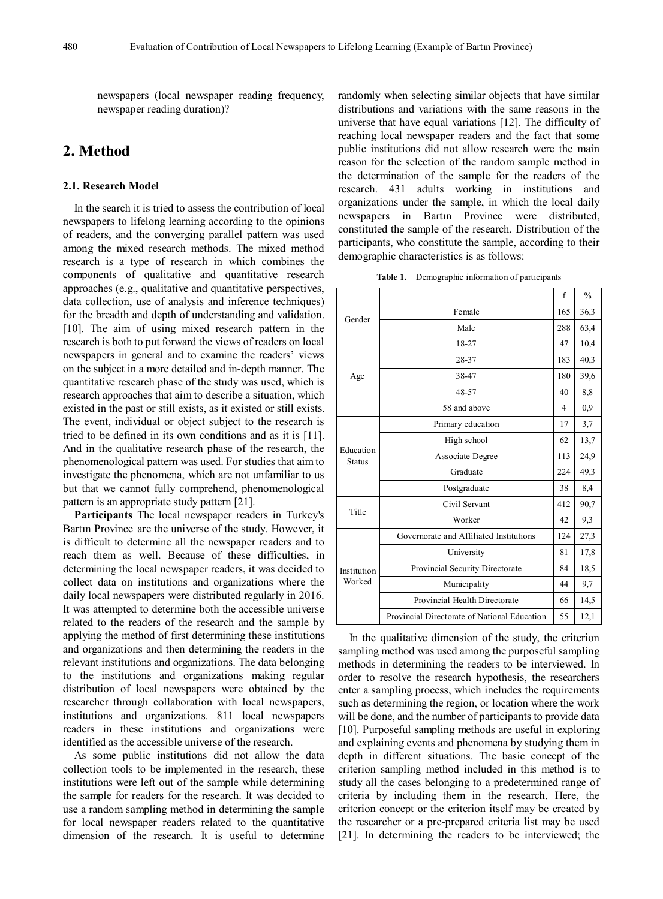newspapers (local newspaper reading frequency, newspaper reading duration)?

# **2. Method**

#### **2.1. Research Model**

In the search it is tried to assess the contribution of local newspapers to lifelong learning according to the opinions of readers, and the converging parallel pattern was used among the mixed research methods. The mixed method research is a type of research in which combines the components of qualitative and quantitative research approaches (e.g., qualitative and quantitative perspectives, data collection, use of analysis and inference techniques) for the breadth and depth of understanding and validation. [10]. The aim of using mixed research pattern in the research is both to put forward the views of readers on local newspapers in general and to examine the readers' views on the subject in a more detailed and in-depth manner. The quantitative research phase of the study was used, which is research approaches that aim to describe a situation, which existed in the past or still exists, as it existed or still exists. The event, individual or object subject to the research is tried to be defined in its own conditions and as it is [11]. And in the qualitative research phase of the research, the phenomenological pattern was used. For studies that aim to investigate the phenomena, which are not unfamiliar to us but that we cannot fully comprehend, phenomenological pattern is an appropriate study pattern [21].

**Participants** The local newspaper readers in Turkey's Bartın Province are the universe of the study. However, it is difficult to determine all the newspaper readers and to reach them as well. Because of these difficulties, in determining the local newspaper readers, it was decided to collect data on institutions and organizations where the daily local newspapers were distributed regularly in 2016. It was attempted to determine both the accessible universe related to the readers of the research and the sample by applying the method of first determining these institutions and organizations and then determining the readers in the relevant institutions and organizations. The data belonging to the institutions and organizations making regular distribution of local newspapers were obtained by the researcher through collaboration with local newspapers, institutions and organizations. 811 local newspapers readers in these institutions and organizations were identified as the accessible universe of the research.

As some public institutions did not allow the data collection tools to be implemented in the research, these institutions were left out of the sample while determining the sample for readers for the research. It was decided to use a random sampling method in determining the sample for local newspaper readers related to the quantitative dimension of the research. It is useful to determine

randomly when selecting similar objects that have similar distributions and variations with the same reasons in the universe that have equal variations [12]. The difficulty of reaching local newspaper readers and the fact that some public institutions did not allow research were the main reason for the selection of the random sample method in the determination of the sample for the readers of the research. 431 adults working in institutions and organizations under the sample, in which the local daily newspapers in Bartın Province were distributed, constituted the sample of the research. Distribution of the participants, who constitute the sample, according to their demographic characteristics is as follows:

**Table 1.** Demographic information of participants

|                            |                                              | f   | $\frac{0}{0}$ |
|----------------------------|----------------------------------------------|-----|---------------|
| Gender                     | Female                                       | 165 | 36,3          |
|                            | Male                                         | 288 | 63,4          |
|                            | 18-27                                        | 47  | 10,4          |
|                            | 28-37                                        | 183 | 40,3          |
| Age                        | 38-47                                        | 180 | 39,6          |
|                            | 48-57                                        | 40  | 8,8           |
|                            | 58 and above                                 | 4   | 0.9           |
|                            | Primary education                            | 17  | 3,7           |
|                            | High school                                  | 62  | 13,7          |
| Education<br><b>Status</b> | Associate Degree                             | 113 | 24.9          |
|                            | Graduate                                     | 224 | 49,3          |
|                            | Postgraduate                                 | 38  | 8,4           |
| Title                      | Civil Servant                                | 412 | 90,7          |
|                            | Worker                                       | 42  | 9,3           |
|                            | Governorate and Affiliated Institutions      | 124 | 27,3          |
| Institution<br>Worked      | University                                   |     | 17,8          |
|                            | Provincial Security Directorate              | 84  | 18,5          |
|                            | Municipality                                 | 44  | 9.7           |
|                            | Provincial Health Directorate                | 66  | 14,5          |
|                            | Provincial Directorate of National Education | 55  | 12,1          |

In the qualitative dimension of the study, the criterion sampling method was used among the purposeful sampling methods in determining the readers to be interviewed. In order to resolve the research hypothesis, the researchers enter a sampling process, which includes the requirements such as determining the region, or location where the work will be done, and the number of participants to provide data [10]. Purposeful sampling methods are useful in exploring and explaining events and phenomena by studying them in depth in different situations. The basic concept of the criterion sampling method included in this method is to study all the cases belonging to a predetermined range of criteria by including them in the research. Here, the criterion concept or the criterion itself may be created by the researcher or a pre-prepared criteria list may be used [21]. In determining the readers to be interviewed; the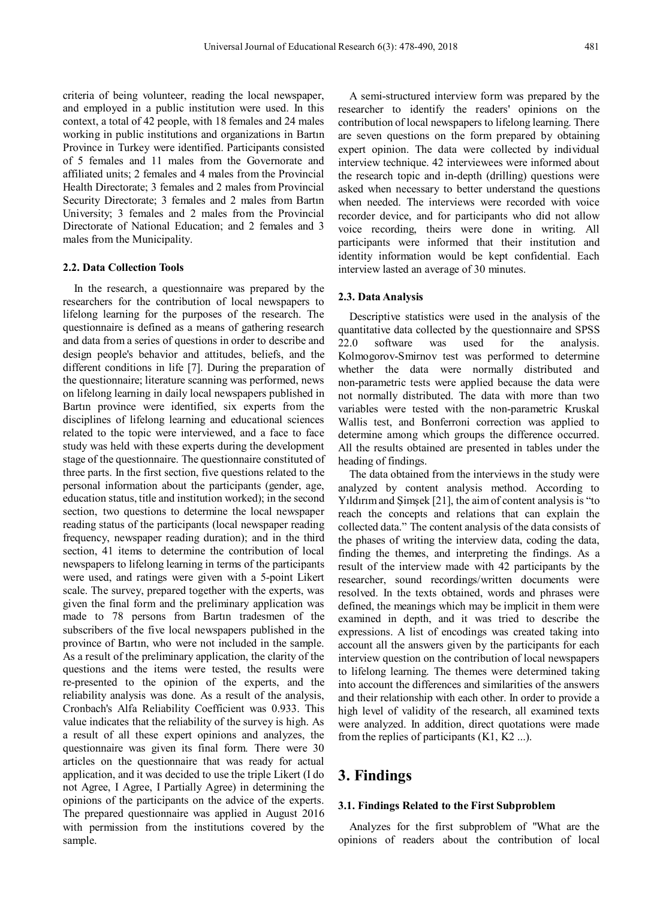criteria of being volunteer, reading the local newspaper, and employed in a public institution were used. In this context, a total of 42 people, with 18 females and 24 males working in public institutions and organizations in Bartın Province in Turkey were identified. Participants consisted of 5 females and 11 males from the Governorate and affiliated units; 2 females and 4 males from the Provincial Health Directorate; 3 females and 2 males from Provincial Security Directorate; 3 females and 2 males from Bartın University; 3 females and 2 males from the Provincial Directorate of National Education; and 2 females and 3 males from the Municipality.

#### **2.2. Data Collection Tools**

In the research, a questionnaire was prepared by the researchers for the contribution of local newspapers to lifelong learning for the purposes of the research. The questionnaire is defined as a means of gathering research and data from a series of questions in order to describe and design people's behavior and attitudes, beliefs, and the different conditions in life [7]. During the preparation of the questionnaire; literature scanning was performed, news on lifelong learning in daily local newspapers published in Bartın province were identified, six experts from the disciplines of lifelong learning and educational sciences related to the topic were interviewed, and a face to face study was held with these experts during the development stage of the questionnaire. The questionnaire constituted of three parts. In the first section, five questions related to the personal information about the participants (gender, age, education status, title and institution worked); in the second section, two questions to determine the local newspaper reading status of the participants (local newspaper reading frequency, newspaper reading duration); and in the third section, 41 items to determine the contribution of local newspapers to lifelong learning in terms of the participants were used, and ratings were given with a 5-point Likert scale. The survey, prepared together with the experts, was given the final form and the preliminary application was made to 78 persons from Bartın tradesmen of the subscribers of the five local newspapers published in the province of Bartın, who were not included in the sample. As a result of the preliminary application, the clarity of the questions and the items were tested, the results were re-presented to the opinion of the experts, and the reliability analysis was done. As a result of the analysis, Cronbach's Alfa Reliability Coefficient was 0.933. This value indicates that the reliability of the survey is high. As a result of all these expert opinions and analyzes, the questionnaire was given its final form. There were 30 articles on the questionnaire that was ready for actual application, and it was decided to use the triple Likert (I do not Agree, I Agree, I Partially Agree) in determining the opinions of the participants on the advice of the experts. The prepared questionnaire was applied in August 2016 with permission from the institutions covered by the sample.

A semi-structured interview form was prepared by the researcher to identify the readers' opinions on the contribution of local newspapers to lifelong learning. There are seven questions on the form prepared by obtaining expert opinion. The data were collected by individual interview technique. 42 interviewees were informed about the research topic and in-depth (drilling) questions were asked when necessary to better understand the questions when needed. The interviews were recorded with voice recorder device, and for participants who did not allow voice recording, theirs were done in writing. All participants were informed that their institution and identity information would be kept confidential. Each interview lasted an average of 30 minutes.

#### **2.3. Data Analysis**

Descriptive statistics were used in the analysis of the quantitative data collected by the questionnaire and SPSS 22.0 software was used for the analysis. Kolmogorov-Smirnov test was performed to determine whether the data were normally distributed and non-parametric tests were applied because the data were not normally distributed. The data with more than two variables were tested with the non-parametric Kruskal Wallis test, and Bonferroni correction was applied to determine among which groups the difference occurred. All the results obtained are presented in tables under the heading of findings.

The data obtained from the interviews in the study were analyzed by content analysis method. According to Yıldırım and Şimşek [21], the aim of content analysis is "to reach the concepts and relations that can explain the collected data." The content analysis of the data consists of the phases of writing the interview data, coding the data, finding the themes, and interpreting the findings. As a result of the interview made with 42 participants by the researcher, sound recordings/written documents were resolved. In the texts obtained, words and phrases were defined, the meanings which may be implicit in them were examined in depth, and it was tried to describe the expressions. A list of encodings was created taking into account all the answers given by the participants for each interview question on the contribution of local newspapers to lifelong learning. The themes were determined taking into account the differences and similarities of the answers and their relationship with each other. In order to provide a high level of validity of the research, all examined texts were analyzed. In addition, direct quotations were made from the replies of participants (K1, K2 ...).

#### **3. Findings**

#### **3.1. Findings Related to the First Subproblem**

Analyzes for the first subproblem of "What are the opinions of readers about the contribution of local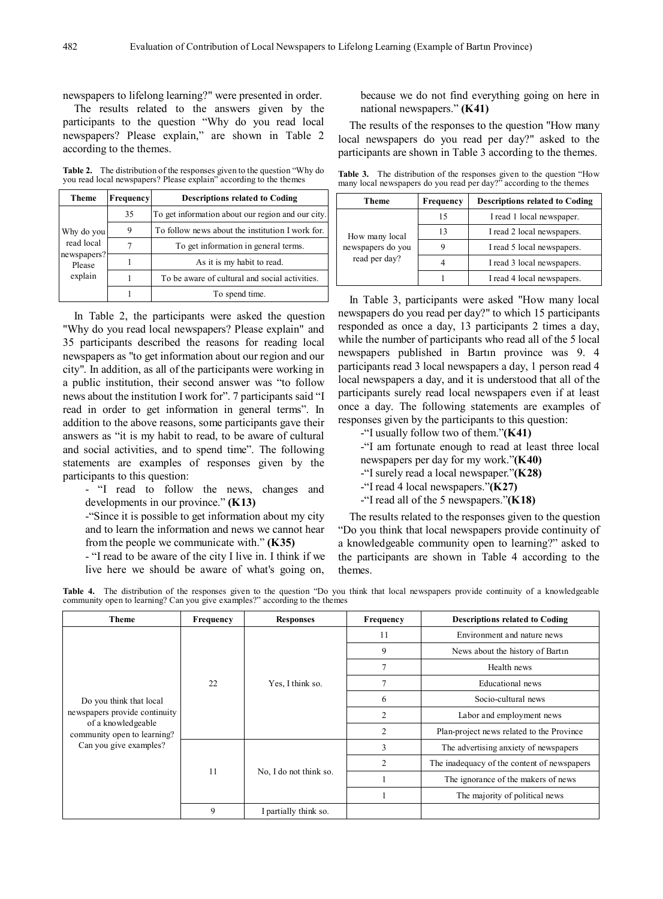newspapers to lifelong learning?" were presented in order.

The results related to the answers given by the participants to the question "Why do you read local newspapers? Please explain," are shown in Table 2 according to the themes.

**Table 2.** The distribution of the responses given to the question "Why do you read local newspapers? Please explain" according to the themes

| <b>Theme</b>          | Frequency | <b>Descriptions related to Coding</b>             |
|-----------------------|-----------|---------------------------------------------------|
|                       | 35        | To get information about our region and our city. |
| Why do you            | 9         | To follow news about the institution I work for.  |
| read local            |           | To get information in general terms.              |
| newspapers?<br>Please |           | As it is my habit to read.                        |
| explain               |           | To be aware of cultural and social activities.    |
|                       |           | To spend time.                                    |

In Table 2, the participants were asked the question "Why do you read local newspapers? Please explain" and 35 participants described the reasons for reading local newspapers as "to get information about our region and our city". In addition, as all of the participants were working in a public institution, their second answer was "to follow news about the institution I work for". 7 participants said "I read in order to get information in general terms". In addition to the above reasons, some participants gave their answers as "it is my habit to read, to be aware of cultural and social activities, and to spend time". The following statements are examples of responses given by the participants to this question:

- "I read to follow the news, changes and developments in our province." **(K13)**

-"Since it is possible to get information about my city and to learn the information and news we cannot hear from the people we communicate with." **(K35)**

- "I read to be aware of the city I live in. I think if we live here we should be aware of what's going on,

because we do not find everything going on here in national newspapers." **(K41)**

The results of the responses to the question "How many local newspapers do you read per day?" asked to the participants are shown in Table 3 according to the themes.

**Table 3.** The distribution of the responses given to the question "How many local newspapers do you read per day?" according to the themes

| Theme             | Frequency | <b>Descriptions related to Coding</b> |
|-------------------|-----------|---------------------------------------|
|                   | 15        | I read 1 local newspaper.             |
| How many local    | 13        | I read 2 local newspapers.            |
| newspapers do you |           | I read 5 local newspapers.            |
| read per day?     |           | I read 3 local newspapers.            |
|                   |           | I read 4 local newspapers.            |

In Table 3, participants were asked "How many local newspapers do you read per day?" to which 15 participants responded as once a day, 13 participants 2 times a day, while the number of participants who read all of the 5 local newspapers published in Bartın province was 9. 4 participants read 3 local newspapers a day, 1 person read 4 local newspapers a day, and it is understood that all of the participants surely read local newspapers even if at least once a day. The following statements are examples of responses given by the participants to this question:

- -"I usually follow two of them."**(K41)**
- -"I am fortunate enough to read at least three local
- newspapers per day for my work."**(K40)**
- -"I surely read a local newspaper."**(K28)**
- -"I read 4 local newspapers."**(K27)**
- -"I read all of the 5 newspapers."**(K18)**

The results related to the responses given to the question "Do you think that local newspapers provide continuity of a knowledgeable community open to learning?" asked to the participants are shown in Table 4 according to the themes.

**Table 4.** The distribution of the responses given to the question "Do you think that local newspapers provide continuity of a knowledgeable community open to learning? Can you give examples?" according to the themes

| <b>Theme</b>                                                                                                 | <b>Frequency</b> | <b>Responses</b>       | Frequency      | <b>Descriptions related to Coding</b>       |
|--------------------------------------------------------------------------------------------------------------|------------------|------------------------|----------------|---------------------------------------------|
|                                                                                                              |                  | Yes, I think so.       | 11             | Environment and nature news                 |
|                                                                                                              |                  |                        | 9              | News about the history of Bartin            |
|                                                                                                              |                  |                        | $\overline{7}$ | Health news                                 |
|                                                                                                              | 22               |                        | $\tau$         | Educational news                            |
| Do you think that local                                                                                      |                  |                        | 6              | Socio-cultural news                         |
| newspapers provide continuity<br>of a knowledgeable<br>community open to learning?<br>Can you give examples? |                  |                        | $\overline{2}$ | Labor and employment news                   |
|                                                                                                              |                  |                        | $\overline{2}$ | Plan-project news related to the Province   |
|                                                                                                              | 11               | No, I do not think so. | 3              | The advertising anxiety of newspapers       |
|                                                                                                              |                  |                        | $\mathfrak{D}$ | The inadequacy of the content of newspapers |
|                                                                                                              |                  |                        |                | The ignorance of the makers of news         |
|                                                                                                              |                  |                        |                | The majority of political news              |
|                                                                                                              | 9                | I partially think so.  |                |                                             |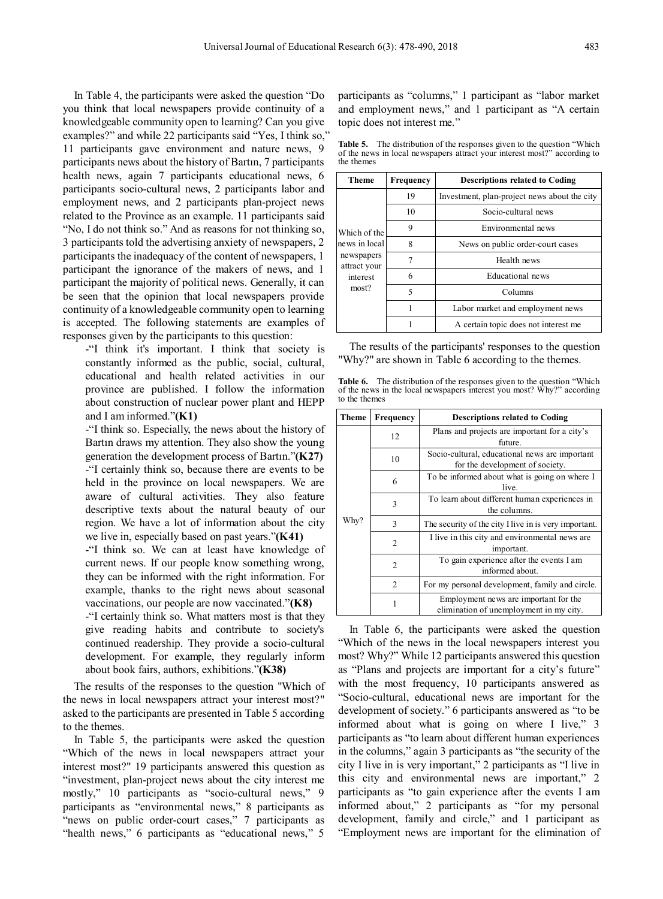In Table 4, the participants were asked the question "Do you think that local newspapers provide continuity of a knowledgeable community open to learning? Can you give examples?" and while 22 participants said "Yes, I think so," 11 participants gave environment and nature news, 9 participants news about the history of Bartın, 7 participants health news, again 7 participants educational news, 6 participants socio-cultural news, 2 participants labor and employment news, and 2 participants plan-project news related to the Province as an example. 11 participants said "No, I do not think so." And as reasons for not thinking so, 3 participants told the advertising anxiety of newspapers, 2 participants the inadequacy of the content of newspapers, 1 participant the ignorance of the makers of news, and 1 participant the majority of political news. Generally, it can be seen that the opinion that local newspapers provide continuity of a knowledgeable community open to learning is accepted. The following statements are examples of responses given by the participants to this question:

-"I think it's important. I think that society is constantly informed as the public, social, cultural, educational and health related activities in our province are published. I follow the information about construction of nuclear power plant and HEPP and I am informed."**(K1)**

-"I think so. Especially, the news about the history of Bartın draws my attention. They also show the young generation the development process of Bartın."**(K27)** -"I certainly think so, because there are events to be held in the province on local newspapers. We are aware of cultural activities. They also feature descriptive texts about the natural beauty of our region. We have a lot of information about the city we live in, especially based on past years."**(K41)**

-"I think so. We can at least have knowledge of current news. If our people know something wrong, they can be informed with the right information. For example, thanks to the right news about seasonal vaccinations, our people are now vaccinated."**(K8)**

-"I certainly think so. What matters most is that they give reading habits and contribute to society's continued readership. They provide a socio-cultural development. For example, they regularly inform about book fairs, authors, exhibitions."**(K38)**

The results of the responses to the question "Which of the news in local newspapers attract your interest most?" asked to the participants are presented in Table 5 according to the themes.

In Table 5, the participants were asked the question "Which of the news in local newspapers attract your interest most?" 19 participants answered this question as "investment, plan-project news about the city interest me mostly," 10 participants as "socio-cultural news," 9 participants as "environmental news," 8 participants as "news on public order-court cases," 7 participants as "health news," 6 participants as "educational news," 5

participants as "columns," 1 participant as "labor market and employment news," and 1 participant as "A certain topic does not interest me."

**Table 5.** The distribution of the responses given to the question "Which of the news in local newspapers attract your interest most?" according to the themes

| Theme                      | Frequency | <b>Descriptions related to Coding</b>        |  |  |
|----------------------------|-----------|----------------------------------------------|--|--|
|                            | 19        | Investment, plan-project news about the city |  |  |
|                            | 10        | Socio-cultural news                          |  |  |
| Which of the               | 9         | Environmental news                           |  |  |
| news in local              | 8         | News on public order-court cases             |  |  |
| newspapers<br>attract your | 7         | Health news                                  |  |  |
| interest                   | 6         | Educational news                             |  |  |
| most?                      | 5         | Columns                                      |  |  |
|                            | 1         | Labor market and employment news             |  |  |
|                            |           | A certain topic does not interest me         |  |  |

The results of the participants' responses to the question "Why?" are shown in Table 6 according to the themes.

**Table 6.** The distribution of the responses given to the question "Which of the news in the local newspapers interest you most? Why?" according to the themes

| <b>Theme</b> | Frequency | <b>Descriptions related to Coding</b>                                             |  |  |  |
|--------------|-----------|-----------------------------------------------------------------------------------|--|--|--|
|              | 12        | Plans and projects are important for a city's<br>future.                          |  |  |  |
|              | 10        | Socio-cultural, educational news are important<br>for the development of society. |  |  |  |
|              | 6         | To be informed about what is going on where I<br>live.                            |  |  |  |
|              | 3         | To learn about different human experiences in<br>the columns.                     |  |  |  |
| Why?         | 3         | The security of the city I live in is very important.                             |  |  |  |
|              | 2         | I live in this city and environmental news are.<br>important.                     |  |  |  |
|              | 2         | To gain experience after the events I am<br>informed about.                       |  |  |  |
|              | 2         | For my personal development, family and circle.                                   |  |  |  |
|              | 1         | Employment news are important for the<br>elimination of unemployment in my city.  |  |  |  |

In Table 6, the participants were asked the question "Which of the news in the local newspapers interest you most? Why?" While 12 participants answered this question as "Plans and projects are important for a city's future" with the most frequency, 10 participants answered as "Socio-cultural, educational news are important for the development of society." 6 participants answered as "to be informed about what is going on where I live," 3 participants as "to learn about different human experiences in the columns," again 3 participants as "the security of the city I live in is very important," 2 participants as "I live in this city and environmental news are important," 2 participants as "to gain experience after the events I am informed about," 2 participants as "for my personal development, family and circle," and 1 participant as "Employment news are important for the elimination of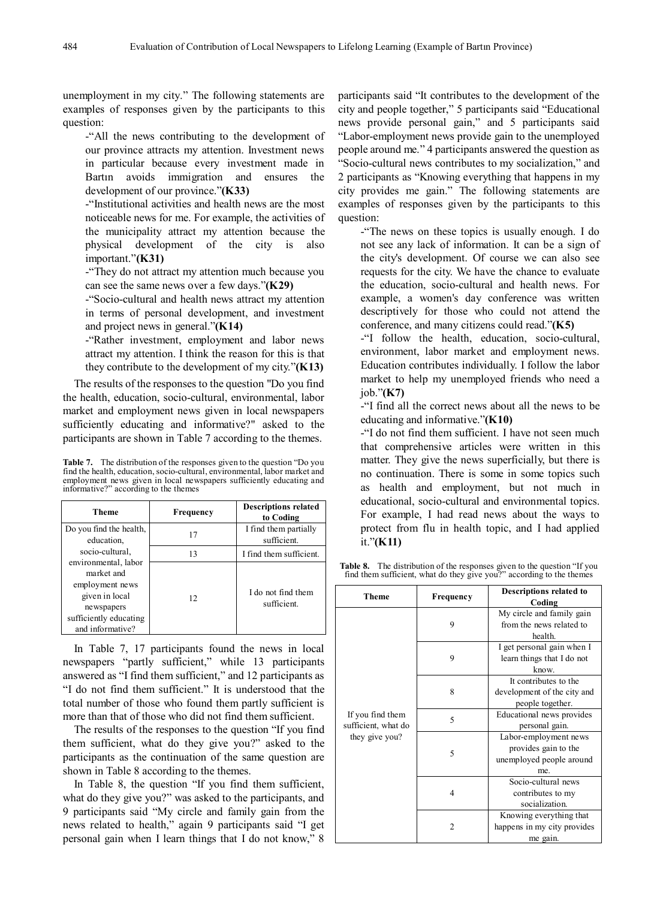unemployment in my city." The following statements are examples of responses given by the participants to this question:

-"All the news contributing to the development of our province attracts my attention. Investment news in particular because every investment made in Bartın avoids immigration and ensures the development of our province."**(K33)**

-"Institutional activities and health news are the most noticeable news for me. For example, the activities of the municipality attract my attention because the physical development of the city is also important."**(K31)**

-"They do not attract my attention much because you can see the same news over a few days."**(K29)**

-"Socio-cultural and health news attract my attention in terms of personal development, and investment and project news in general."**(K14)** 

-"Rather investment, employment and labor news attract my attention. I think the reason for this is that they contribute to the development of my city."**(K13)**

The results of the responses to the question "Do you find the health, education, socio-cultural, environmental, labor market and employment news given in local newspapers sufficiently educating and informative?" asked to the participants are shown in Table 7 according to the themes.

**Table 7.** The distribution of the responses given to the question "Do you find the health, education, socio-cultural, environmental, labor market and employment news given in local newspapers sufficiently educating and informative?" according to the themes

| Theme                                                                                                                               | Frequency | <b>Descriptions related</b><br>to Coding |
|-------------------------------------------------------------------------------------------------------------------------------------|-----------|------------------------------------------|
| Do you find the health,<br>education,                                                                                               | 17        | I find them partially<br>sufficient.     |
| socio-cultural.                                                                                                                     | 13        | I find them sufficient.                  |
| environmental, labor<br>market and<br>employment news<br>given in local<br>newspapers<br>sufficiently educating<br>and informative? | 12        | I do not find them<br>sufficient.        |

In Table 7, 17 participants found the news in local newspapers "partly sufficient," while 13 participants answered as "I find them sufficient," and 12 participants as "I do not find them sufficient." It is understood that the total number of those who found them partly sufficient is more than that of those who did not find them sufficient.

The results of the responses to the question "If you find them sufficient, what do they give you?" asked to the participants as the continuation of the same question are shown in Table 8 according to the themes.

In Table 8, the question "If you find them sufficient, what do they give you?" was asked to the participants, and 9 participants said "My circle and family gain from the news related to health," again 9 participants said "I get personal gain when I learn things that I do not know," 8

participants said "It contributes to the development of the city and people together," 5 participants said "Educational news provide personal gain," and 5 participants said "Labor-employment news provide gain to the unemployed people around me." 4 participants answered the question as "Socio-cultural news contributes to my socialization," and 2 participants as "Knowing everything that happens in my city provides me gain." The following statements are examples of responses given by the participants to this question:

-"The news on these topics is usually enough. I do not see any lack of information. It can be a sign of the city's development. Of course we can also see requests for the city. We have the chance to evaluate the education, socio-cultural and health news. For example, a women's day conference was written descriptively for those who could not attend the conference, and many citizens could read."**(K5)**

-"I follow the health, education, socio-cultural, environment, labor market and employment news. Education contributes individually. I follow the labor market to help my unemployed friends who need a job."**(K7)**

-"I find all the correct news about all the news to be educating and informative."**(K10)**

-"I do not find them sufficient. I have not seen much that comprehensive articles were written in this matter. They give the news superficially, but there is no continuation. There is some in some topics such as health and employment, but not much in educational, socio-cultural and environmental topics. For example, I had read news about the ways to protect from flu in health topic, and I had applied it."**(K11)**

**Table 8.** The distribution of the responses given to the question "If you find them sufficient, what do they give you?" according to the themes

| Theme                                   | Frequency                     | Descriptions related to<br>Coding                                                |  |  |
|-----------------------------------------|-------------------------------|----------------------------------------------------------------------------------|--|--|
|                                         | 9                             | My circle and family gain<br>from the news related to<br>health.                 |  |  |
|                                         | 9                             | I get personal gain when I<br>learn things that I do not<br>know.                |  |  |
|                                         | 8                             | It contributes to the<br>development of the city and<br>people together.         |  |  |
| If you find them<br>sufficient, what do | $\overline{\phantom{0}}$<br>5 | Educational news provides<br>personal gain.                                      |  |  |
| they give you?                          |                               | Labor-employment news<br>provides gain to the<br>unemployed people around<br>me. |  |  |
|                                         | 4                             | Socio-cultural news<br>contributes to my<br>socialization.                       |  |  |
|                                         | $\overline{c}$                | Knowing everything that<br>happens in my city provides<br>me gain.               |  |  |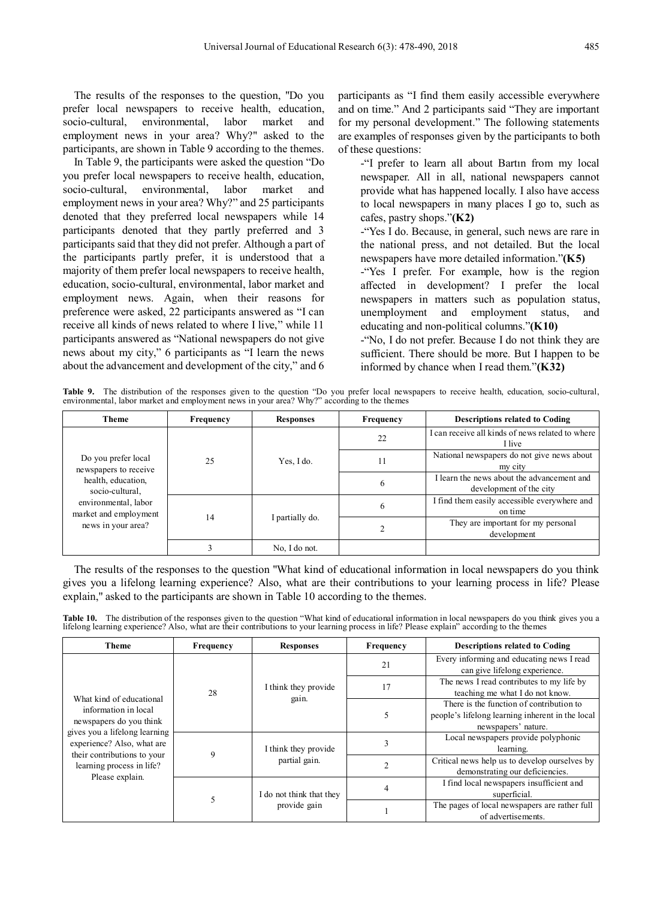The results of the responses to the question, "Do you prefer local newspapers to receive health, education, socio-cultural, environmental, labor market and employment news in your area? Why?" asked to the participants, are shown in Table 9 according to the themes.

In Table 9, the participants were asked the question "Do you prefer local newspapers to receive health, education, socio-cultural, environmental, labor market and employment news in your area? Why?" and 25 participants denoted that they preferred local newspapers while 14 participants denoted that they partly preferred and 3 participants said that they did not prefer. Although a part of the participants partly prefer, it is understood that a majority of them prefer local newspapers to receive health, education, socio-cultural, environmental, labor market and employment news. Again, when their reasons for preference were asked, 22 participants answered as "I can receive all kinds of news related to where I live," while 11 participants answered as "National newspapers do not give news about my city," 6 participants as "I learn the news about the advancement and development of the city," and 6

participants as "I find them easily accessible everywhere and on time." And 2 participants said "They are important for my personal development." The following statements are examples of responses given by the participants to both of these questions:

-"I prefer to learn all about Bartın from my local newspaper. All in all, national newspapers cannot provide what has happened locally. I also have access to local newspapers in many places I go to, such as cafes, pastry shops."**(K2)**

-"Yes I do. Because, in general, such news are rare in the national press, and not detailed. But the local newspapers have more detailed information."**(K5)**

-"Yes I prefer. For example, how is the region affected in development? I prefer the local newspapers in matters such as population status, unemployment and employment status, and educating and non-political columns."**(K10)**

-"No, I do not prefer. Because I do not think they are sufficient. There should be more. But I happen to be informed by chance when I read them."**(K32)**

**Table 9.** The distribution of the responses given to the question "Do you prefer local newspapers to receive health, education, socio-cultural, environmental, labor market and employment news in your area? Why?" according to the themes

| <b>Theme</b>                                                                                                                                                 | Frequency    | <b>Responses</b> | Frequency | <b>Descriptions related to Coding</b>                                 |
|--------------------------------------------------------------------------------------------------------------------------------------------------------------|--------------|------------------|-----------|-----------------------------------------------------------------------|
| Do you prefer local<br>newspapers to receive<br>health, education,<br>socio-cultural,<br>environmental, labor<br>market and employment<br>news in your area? |              |                  | 22        | I can receive all kinds of news related to where<br>I live            |
|                                                                                                                                                              | 25<br>14     | Yes, I do.       | 11        | National newspapers do not give news about<br>my city                 |
|                                                                                                                                                              |              |                  | 6         | I learn the news about the advancement and<br>development of the city |
|                                                                                                                                                              |              |                  | 6         | I find them easily accessible everywhere and<br>on time               |
|                                                                                                                                                              |              | I partially do.  |           | They are important for my personal<br>development                     |
|                                                                                                                                                              | $\mathbf{3}$ | No. I do not.    |           |                                                                       |

The results of the responses to the question "What kind of educational information in local newspapers do you think gives you a lifelong learning experience? Also, what are their contributions to your learning process in life? Please explain," asked to the participants are shown in Table 10 according to the themes.

Table 10. The distribution of the responses given to the question "What kind of educational information in local newspapers do you think gives you a lifelong learning experience? Also, what are their contributions to your

| <b>Theme</b>                                                                                                                                                                                                              | Frequency | <b>Responses</b>                         | Frequency | <b>Descriptions related to Coding</b>                                                                               |
|---------------------------------------------------------------------------------------------------------------------------------------------------------------------------------------------------------------------------|-----------|------------------------------------------|-----------|---------------------------------------------------------------------------------------------------------------------|
|                                                                                                                                                                                                                           | 28        | I think they provide<br>gain.            | 21        | Every informing and educating news I read<br>can give lifelong experience.                                          |
|                                                                                                                                                                                                                           |           |                                          | 17        | The news I read contributes to my life by<br>teaching me what I do not know.                                        |
| What kind of educational<br>information in local<br>newspapers do you think<br>gives you a lifelong learning<br>experience? Also, what are<br>their contributions to your<br>learning process in life?<br>Please explain. |           |                                          | 5         | There is the function of contribution to<br>people's lifelong learning inherent in the local<br>newspapers' nature. |
|                                                                                                                                                                                                                           | 9         | I think they provide<br>partial gain.    |           | Local newspapers provide polyphonic<br>learning.                                                                    |
|                                                                                                                                                                                                                           |           |                                          |           | Critical news help us to develop ourselves by<br>demonstrating our deficiencies.                                    |
|                                                                                                                                                                                                                           |           | I do not think that they<br>provide gain |           | I find local newspapers insufficient and<br>superficial.                                                            |
|                                                                                                                                                                                                                           |           |                                          |           | The pages of local newspapers are rather full<br>of advertisements.                                                 |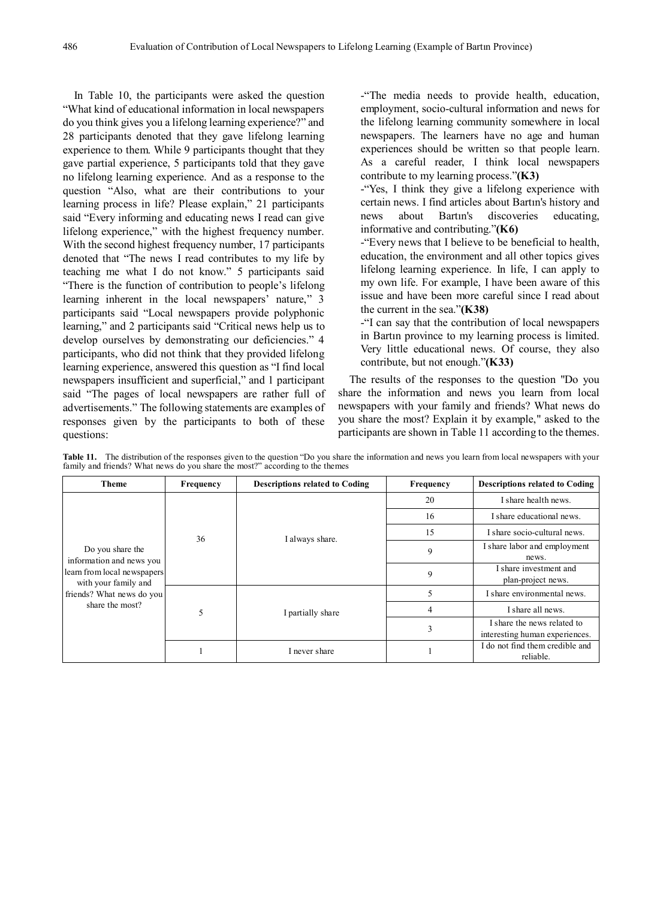In Table 10, the participants were asked the question "What kind of educational information in local newspapers do you think gives you a lifelong learning experience?" and 28 participants denoted that they gave lifelong learning experience to them. While 9 participants thought that they gave partial experience, 5 participants told that they gave no lifelong learning experience. And as a response to the question "Also, what are their contributions to your learning process in life? Please explain," 21 participants said "Every informing and educating news I read can give lifelong experience," with the highest frequency number. With the second highest frequency number, 17 participants denoted that "The news I read contributes to my life by teaching me what I do not know." 5 participants said "There is the function of contribution to people's lifelong learning inherent in the local newspapers' nature," 3 participants said "Local newspapers provide polyphonic learning," and 2 participants said "Critical news help us to develop ourselves by demonstrating our deficiencies." 4 participants, who did not think that they provided lifelong learning experience, answered this question as "I find local newspapers insufficient and superficial," and 1 participant said "The pages of local newspapers are rather full of advertisements." The following statements are examples of responses given by the participants to both of these questions:

-"The media needs to provide health, education, employment, socio-cultural information and news for the lifelong learning community somewhere in local newspapers. The learners have no age and human experiences should be written so that people learn. As a careful reader, I think local newspapers contribute to my learning process."**(K3)**

-"Yes, I think they give a lifelong experience with certain news. I find articles about Bartın's history and news about Bartın's discoveries educating, informative and contributing."**(K6)**

-"Every news that I believe to be beneficial to health, education, the environment and all other topics gives lifelong learning experience. In life, I can apply to my own life. For example, I have been aware of this issue and have been more careful since I read about the current in the sea."**(K38)**

-"I can say that the contribution of local newspapers in Bartın province to my learning process is limited. Very little educational news. Of course, they also contribute, but not enough."**(K33)** 

The results of the responses to the question "Do you share the information and news you learn from local newspapers with your family and friends? What news do you share the most? Explain it by example," asked to the participants are shown in Table 11 according to the themes.

| Theme                                                                                                                                               | Frequency | <b>Descriptions related to Coding</b> | Frequency | <b>Descriptions related to Coding</b>                         |
|-----------------------------------------------------------------------------------------------------------------------------------------------------|-----------|---------------------------------------|-----------|---------------------------------------------------------------|
|                                                                                                                                                     |           | I always share.                       | 20        | I share health news.                                          |
|                                                                                                                                                     |           |                                       | 16        | I share educational news.                                     |
|                                                                                                                                                     | 36        |                                       | 15        | I share socio-cultural news.                                  |
| Do you share the<br>information and news you<br>learn from local newspapers<br>with your family and<br>friends? What news do you<br>share the most? |           |                                       | 9         | I share labor and employment<br>news.                         |
|                                                                                                                                                     |           |                                       | 9         | I share investment and<br>plan-project news.                  |
|                                                                                                                                                     | 5         | I partially share                     |           | I share environmental news.                                   |
|                                                                                                                                                     |           |                                       | 4         | I share all news.                                             |
|                                                                                                                                                     |           |                                       | 3         | I share the news related to<br>interesting human experiences. |
|                                                                                                                                                     |           | I never share                         |           | I do not find them credible and<br>reliable.                  |

Table 11. The distribution of the responses given to the question "Do you share the information and news you learn from local newspapers with your family and friends? What news do you share the most?" according to the themes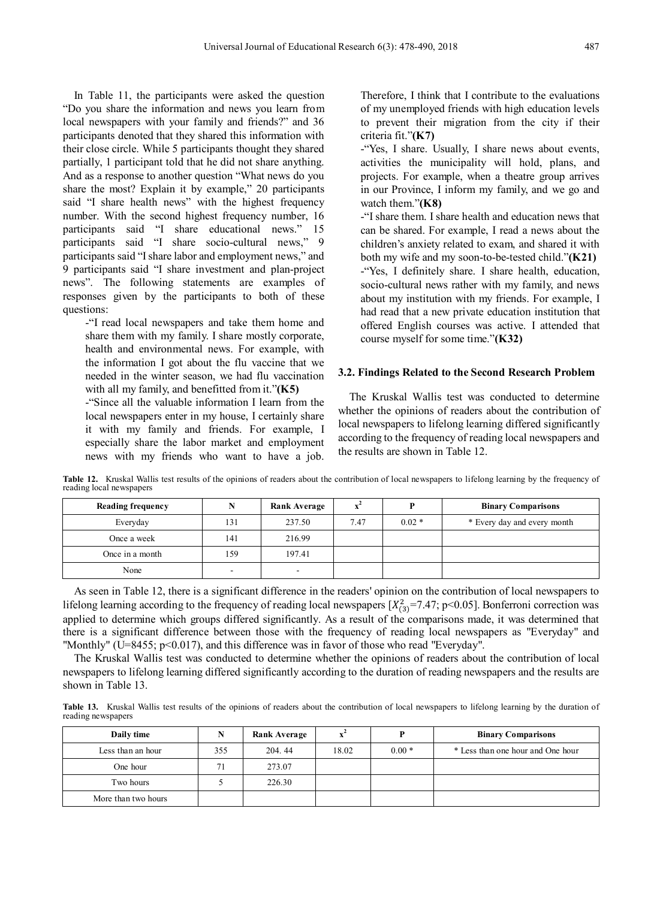In Table 11, the participants were asked the question "Do you share the information and news you learn from local newspapers with your family and friends?" and 36 participants denoted that they shared this information with their close circle. While 5 participants thought they shared partially, 1 participant told that he did not share anything. And as a response to another question "What news do you share the most? Explain it by example," 20 participants said "I share health news" with the highest frequency number. With the second highest frequency number, 16 participants said "I share educational news." 15 participants said "I share socio-cultural news," 9 participants said "I share labor and employment news," and 9 participants said "I share investment and plan-project news". The following statements are examples of responses given by the participants to both of these questions:

-"I read local newspapers and take them home and share them with my family. I share mostly corporate, health and environmental news. For example, with the information I got about the flu vaccine that we needed in the winter season, we had flu vaccination with all my family, and benefitted from it."**(K5)**

-"Since all the valuable information I learn from the local newspapers enter in my house, I certainly share it with my family and friends. For example, I especially share the labor market and employment news with my friends who want to have a job.

Therefore, I think that I contribute to the evaluations of my unemployed friends with high education levels to prevent their migration from the city if their criteria fit."**(K7)**

-"Yes, I share. Usually, I share news about events, activities the municipality will hold, plans, and projects. For example, when a theatre group arrives in our Province, I inform my family, and we go and watch them."**(K8)**

-"I share them. I share health and education news that can be shared. For example, I read a news about the children's anxiety related to exam, and shared it with both my wife and my soon-to-be-tested child."**(K21)** -"Yes, I definitely share. I share health, education, socio-cultural news rather with my family, and news about my institution with my friends. For example, I had read that a new private education institution that offered English courses was active. I attended that course myself for some time."**(K32)**

#### **3.2. Findings Related to the Second Research Problem**

The Kruskal Wallis test was conducted to determine whether the opinions of readers about the contribution of local newspapers to lifelong learning differed significantly according to the frequency of reading local newspapers and the results are shown in Table 12.

**Table 12.** Kruskal Wallis test results of the opinions of readers about the contribution of local newspapers to lifelong learning by the frequency of reading local newspapers

| <b>Reading frequency</b> | N                        | Rank Average |      | D       | <b>Binary Comparisons</b>   |
|--------------------------|--------------------------|--------------|------|---------|-----------------------------|
| Everyday                 | 131                      | 237.50       | 7.47 | $0.02*$ | * Every day and every month |
| Once a week              | 141                      | 216.99       |      |         |                             |
| Once in a month          | 159                      | 197.41       |      |         |                             |
| None                     | $\overline{\phantom{0}}$ | -            |      |         |                             |

As seen in Table 12, there is a significant difference in the readers' opinion on the contribution of local newspapers to lifelong learning according to the frequency of reading local newspapers  $[X_{(3)}^2$ =7.47; p<0.05]. Bonferroni correction was applied to determine which groups differed significantly. As a result of the comparisons made, it was determined that there is a significant difference between those with the frequency of reading local newspapers as "Everyday" and "Monthly" (U=8455; p<0.017), and this difference was in favor of those who read "Everyday".

The Kruskal Wallis test was conducted to determine whether the opinions of readers about the contribution of local newspapers to lifelong learning differed significantly according to the duration of reading newspapers and the results are shown in Table 13.

Table 13. Kruskal Wallis test results of the opinions of readers about the contribution of local newspapers to lifelong learning by the duration of reading newspapers

| Daily time          | N   | Rank Average |       |         | <b>Binary Comparisons</b>         |
|---------------------|-----|--------------|-------|---------|-----------------------------------|
| Less than an hour   | 355 | 204.44       | 18.02 | $0.00*$ | * Less than one hour and One hour |
| One hour            | 71  | 273.07       |       |         |                                   |
| Two hours           |     | 226.30       |       |         |                                   |
| More than two hours |     |              |       |         |                                   |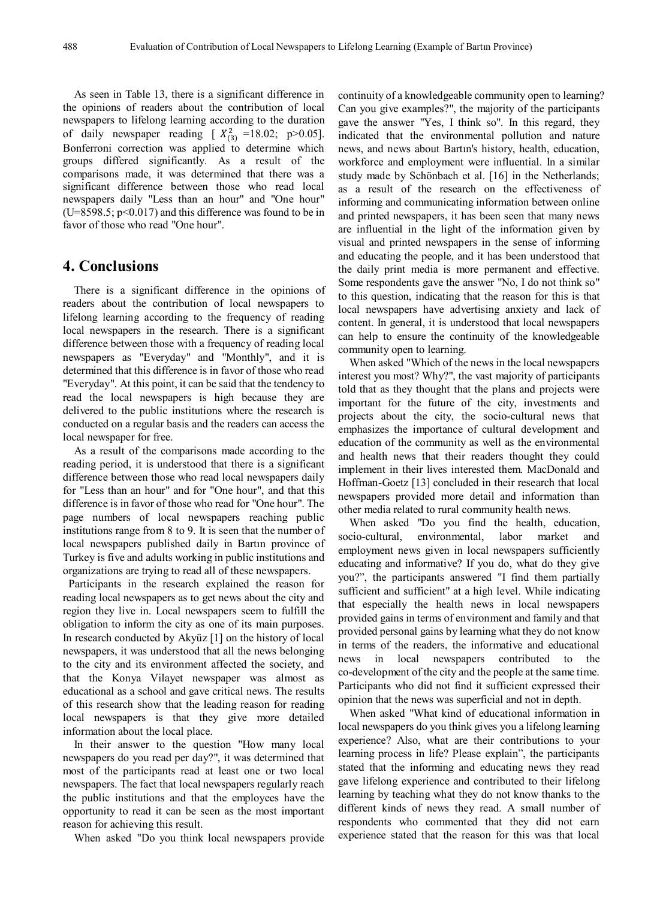As seen in Table 13, there is a significant difference in the opinions of readers about the contribution of local newspapers to lifelong learning according to the duration of daily newspaper reading  $[X_{(3)}^2 = 18.02; p > 0.05]$ . Bonferroni correction was applied to determine which groups differed significantly. As a result of the comparisons made, it was determined that there was a significant difference between those who read local newspapers daily "Less than an hour" and "One hour"  $(U=8598.5; p<0.017)$  and this difference was found to be in favor of those who read "One hour".

# **4. Conclusions**

There is a significant difference in the opinions of readers about the contribution of local newspapers to lifelong learning according to the frequency of reading local newspapers in the research. There is a significant difference between those with a frequency of reading local newspapers as "Everyday" and "Monthly", and it is determined that this difference is in favor of those who read "Everyday". At this point, it can be said that the tendency to read the local newspapers is high because they are delivered to the public institutions where the research is conducted on a regular basis and the readers can access the local newspaper for free.

As a result of the comparisons made according to the reading period, it is understood that there is a significant difference between those who read local newspapers daily for "Less than an hour" and for "One hour", and that this difference is in favor of those who read for "One hour". The page numbers of local newspapers reaching public institutions range from 8 to 9. It is seen that the number of local newspapers published daily in Bartın province of Turkey is five and adults working in public institutions and organizations are trying to read all of these newspapers.

Participants in the research explained the reason for reading local newspapers as to get news about the city and region they live in. Local newspapers seem to fulfill the obligation to inform the city as one of its main purposes. In research conducted by Akyüz [1] on the history of local newspapers, it was understood that all the news belonging to the city and its environment affected the society, and that the Konya Vilayet newspaper was almost as educational as a school and gave critical news. The results of this research show that the leading reason for reading local newspapers is that they give more detailed information about the local place.

In their answer to the question "How many local newspapers do you read per day?", it was determined that most of the participants read at least one or two local newspapers. The fact that local newspapers regularly reach the public institutions and that the employees have the opportunity to read it can be seen as the most important reason for achieving this result.

When asked "Do you think local newspapers provide

continuity of a knowledgeable community open to learning? Can you give examples?", the majority of the participants gave the answer "Yes, I think so". In this regard, they indicated that the environmental pollution and nature news, and news about Bartın's history, health, education, workforce and employment were influential. In a similar study made by Schönbach et al. [16] in the Netherlands; as a result of the research on the effectiveness of informing and communicating information between online and printed newspapers, it has been seen that many news are influential in the light of the information given by visual and printed newspapers in the sense of informing and educating the people, and it has been understood that the daily print media is more permanent and effective. Some respondents gave the answer "No, I do not think so" to this question, indicating that the reason for this is that local newspapers have advertising anxiety and lack of content. In general, it is understood that local newspapers can help to ensure the continuity of the knowledgeable community open to learning.

When asked "Which of the news in the local newspapers interest you most? Why?", the vast majority of participants told that as they thought that the plans and projects were important for the future of the city, investments and projects about the city, the socio-cultural news that emphasizes the importance of cultural development and education of the community as well as the environmental and health news that their readers thought they could implement in their lives interested them. MacDonald and Hoffman-Goetz [13] concluded in their research that local newspapers provided more detail and information than other media related to rural community health news.

When asked "Do you find the health, education, socio-cultural, environmental, labor market and employment news given in local newspapers sufficiently educating and informative? If you do, what do they give you?", the participants answered "I find them partially sufficient and sufficient" at a high level. While indicating that especially the health news in local newspapers provided gains in terms of environment and family and that provided personal gains by learning what they do not know in terms of the readers, the informative and educational news in local newspapers contributed to the co-development of the city and the people at the same time. Participants who did not find it sufficient expressed their opinion that the news was superficial and not in depth.

When asked "What kind of educational information in local newspapers do you think gives you a lifelong learning experience? Also, what are their contributions to your learning process in life? Please explain", the participants stated that the informing and educating news they read gave lifelong experience and contributed to their lifelong learning by teaching what they do not know thanks to the different kinds of news they read. A small number of respondents who commented that they did not earn experience stated that the reason for this was that local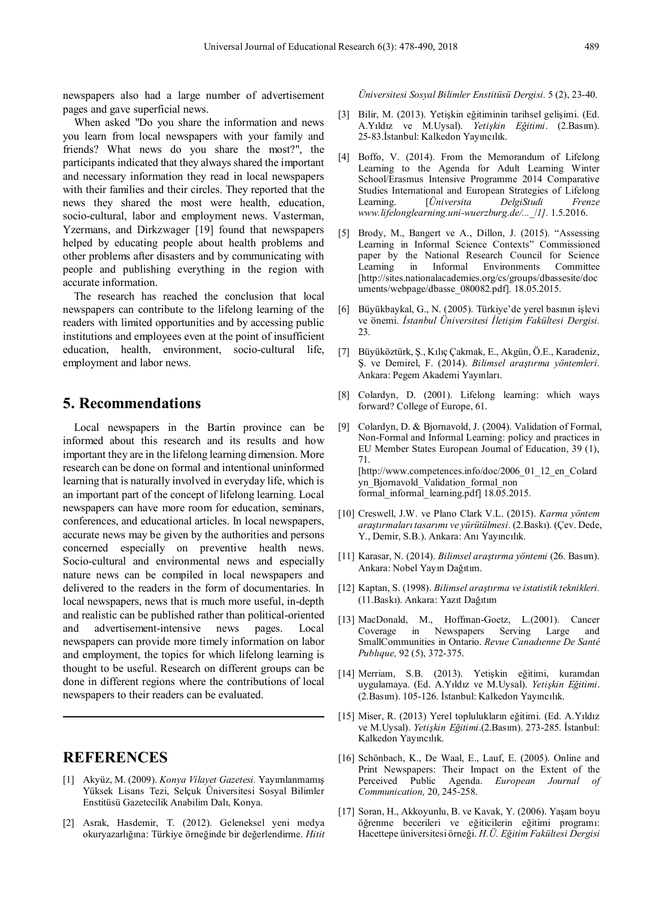newspapers also had a large number of advertisement pages and gave superficial news.

When asked "Do you share the information and news you learn from local newspapers with your family and friends? What news do you share the most?", the participants indicated that they always shared the important and necessary information they read in local newspapers with their families and their circles. They reported that the news they shared the most were health, education, socio-cultural, labor and employment news. Vasterman, Yzermans, and Dirkzwager [19] found that newspapers helped by educating people about health problems and other problems after disasters and by communicating with people and publishing everything in the region with accurate information.

The research has reached the conclusion that local newspapers can contribute to the lifelong learning of the readers with limited opportunities and by accessing public institutions and employees even at the point of insufficient education, health, environment, socio-cultural life, employment and labor news.

# **5. Recommendations**

Local newspapers in the Bartin province can be informed about this research and its results and how important they are in the lifelong learning dimension. More research can be done on formal and intentional uninformed learning that is naturally involved in everyday life, which is an important part of the concept of lifelong learning. Local newspapers can have more room for education, seminars, conferences, and educational articles. In local newspapers, accurate news may be given by the authorities and persons concerned especially on preventive health news. Socio-cultural and environmental news and especially nature news can be compiled in local newspapers and delivered to the readers in the form of documentaries. In local newspapers, news that is much more useful, in-depth and realistic can be published rather than political-oriented and advertisement-intensive news pages. Local newspapers can provide more timely information on labor and employment, the topics for which lifelong learning is thought to be useful. Research on different groups can be done in different regions where the contributions of local newspapers to their readers can be evaluated.

# **REFERENCES**

- [1] Akyüz, M. (2009). *Konya Vilayet Gazetesi.* Yayımlanmamış Yüksek Lisans Tezi, Selçuk Üniversitesi Sosyal Bilimler Enstitüsü Gazetecilik Anabilim Dalı, Konya.
- [2] Asrak, Hasdemir, T. (2012). Geleneksel yeni medya okuryazarlığına: Türkiye örneğinde bir değerlendirme. *Hitit*

*Üniversitesi Sosyal Bilimler Enstitüsü Dergisi.* 5 (2), 23-40.

- [3] Bilir, M. (2013). Yetişkin eğitiminin tarihsel gelişimi. (Ed. A.Yıldız ve M.Uysal). *Yetişkin Eğitimi*. (2.Basım). 25-83.İstanbul: Kalkedon Yayıncılık.
- [4] Boffo, V. (2014). From the Memorandum of Lifelong Learning to the Agenda for Adult Learning Winter School/Erasmus Intensive Programme 2014 Comparative Studies International and European Strategies of Lifelong Learning. [*Üniversita DelgiStudi Frenze www.lifelonglearning.uni-wuerzburg.de/...*\_/*1].* 1.5.2016.
- [5] Brody, M., Bangert ve A., Dillon, J. (2015). "Assessing Learning in Informal Science Contexts" Commissioned paper by the National Research Council for Science Learning in Informal Environments Committee [http://sites.nationalacademies.org/cs/groups/dbassesite/doc uments/webpage/dbasse\_080082.pdf]. 18.05.2015.
- [6] Büyükbaykal, G., N. (2005). Türkiye'de yerel basının işlevi ve önemi. *İstanbul Üniversitesi İletişim Fakültesi Dergisi.* 23.
- [7] Büyüköztürk, Ş., Kılıç Çakmak, E., Akgün, Ö.E., Karadeniz, Ş. ve Demirel, F. (2014). *Bilimsel araştırma yöntemleri.* Ankara: Pegem Akademi Yayınları.
- [8] Colardyn, D. (2001). Lifelong learning: which ways forward? College of Europe, 61.
- [9] Colardyn, D. & Bjornavold, J. (2004). Validation of Formal, Non-Formal and Informal Learning: policy and practices in EU Member States European Journal of Education, 39 (1), 71. [http://www.competences.info/doc/2006\_01\_12\_en\_Colard yn\_Bjornavold\_Validation\_formal\_non formal\_informal\_learning.pdf] 18.05.2015.
- [10] Creswell, J.W. ve Plano Clark V.L. (2015). *Karma yöntem araştırmaları tasarımı ve yürütülmesi.* (2.Baskı). (Çev. Dede, Y., Demir, S.B.). Ankara: Anı Yayıncılık.
- [11] Karasar, N. (2014). *Bilimsel araştırma yöntemi* (26. Basım). Ankara: Nobel Yayın Dağıtım.
- [12] Kaptan, S. (1998). *Bilimsel araştırma ve istatistik teknikleri.* (11.Baskı). Ankara: Yazıt Dağıtım
- [13] MacDonald, M., Hoffman-Goetz, L.(2001). Cancer Coverage in Newspapers Serving Large and SmallCommunities in Ontario. *Revue Canadıenne De Santé Publıque,* 92 (5), 372-375.
- [14] Merriam, S.B. (2013). Yetişkin eğitimi, kuramdan uygulamaya. (Ed. A.Yıldız ve M.Uysal). *Yetişkin Eğitimi*. (2.Basım). 105-126. İstanbul: Kalkedon Yayıncılık.
- [15] Miser, R. (2013) Yerel toplulukların eğitimi. (Ed. A.Yıldız ve M.Uysal). *Yetişkin Eğitimi*.(2.Basım). 273-285. İstanbul: Kalkedon Yayıncılık.
- [16] Schönbach, K., De Waal, E., Lauf, E. (2005). Online and Print Newspapers: Their Impact on the Extent of the Perceived Public Agenda. *European Journal of Communication,* 20, 245-258.
- [17] Soran, H., Akkoyunlu, B. ve Kavak, Y. (2006). Yaşam boyu öğrenme becerileri ve eğiticilerin eğitimi programı: Hacettepe üniversitesi örneği. *H.Ü. Eğitim Fakültesi Dergisi*